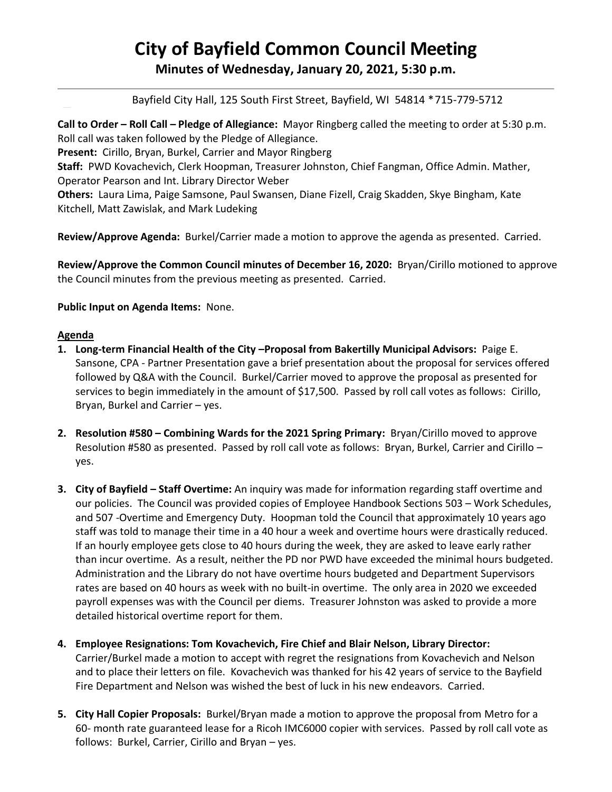# **City of Bayfield Common Council Meeting**

**Minutes of Wednesday, January 20, 2021, 5:30 p.m.**

Bayfield City Hall, 125 South First Street, Bayfield, WI 54814 \*715-779-5712

**Call to Order – Roll Call – Pledge of Allegiance:** Mayor Ringberg called the meeting to order at 5:30 p.m. Roll call was taken followed by the Pledge of Allegiance.

**Present:** Cirillo, Bryan, Burkel, Carrier and Mayor Ringberg

**Staff:** PWD Kovachevich, Clerk Hoopman, Treasurer Johnston, Chief Fangman, Office Admin. Mather, Operator Pearson and Int. Library Director Weber

**Others:** Laura Lima, Paige Samsone, Paul Swansen, Diane Fizell, Craig Skadden, Skye Bingham, Kate Kitchell, Matt Zawislak, and Mark Ludeking

**Review/Approve Agenda:** Burkel/Carrier made a motion to approve the agenda as presented. Carried.

**Review/Approve the Common Council minutes of December 16, 2020:** Bryan/Cirillo motioned to approve the Council minutes from the previous meeting as presented. Carried.

**Public Input on Agenda Items:** None.

### **Agenda**

- **1. Long-term Financial Health of the City –Proposal from Bakertilly Municipal Advisors:** Paige E. Sansone, CPA - Partner Presentation gave a brief presentation about the proposal for services offered followed by Q&A with the Council. Burkel/Carrier moved to approve the proposal as presented for services to begin immediately in the amount of \$17,500. Passed by roll call votes as follows: Cirillo, Bryan, Burkel and Carrier – yes.
- **2. Resolution #580 – Combining Wards for the 2021 Spring Primary:** Bryan/Cirillo moved to approve Resolution #580 as presented. Passed by roll call vote as follows: Bryan, Burkel, Carrier and Cirillo yes.
- **3. City of Bayfield – Staff Overtime:** An inquiry was made for information regarding staff overtime and our policies. The Council was provided copies of Employee Handbook Sections 503 – Work Schedules, and 507 -Overtime and Emergency Duty. Hoopman told the Council that approximately 10 years ago staff was told to manage their time in a 40 hour a week and overtime hours were drastically reduced. If an hourly employee gets close to 40 hours during the week, they are asked to leave early rather than incur overtime. As a result, neither the PD nor PWD have exceeded the minimal hours budgeted. Administration and the Library do not have overtime hours budgeted and Department Supervisors rates are based on 40 hours as week with no built-in overtime. The only area in 2020 we exceeded payroll expenses was with the Council per diems. Treasurer Johnston was asked to provide a more detailed historical overtime report for them.
- **4. Employee Resignations: Tom Kovachevich, Fire Chief and Blair Nelson, Library Director:**  Carrier/Burkel made a motion to accept with regret the resignations from Kovachevich and Nelson and to place their letters on file. Kovachevich was thanked for his 42 years of service to the Bayfield Fire Department and Nelson was wished the best of luck in his new endeavors. Carried.
- **5. City Hall Copier Proposals:** Burkel/Bryan made a motion to approve the proposal from Metro for a 60- month rate guaranteed lease for a Ricoh IMC6000 copier with services. Passed by roll call vote as follows: Burkel, Carrier, Cirillo and Bryan – yes.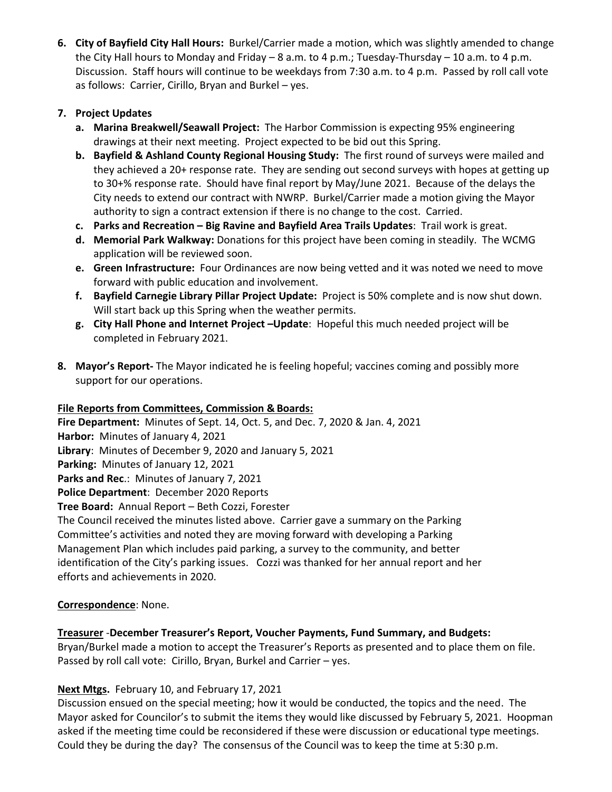**6. City of Bayfield City Hall Hours:** Burkel/Carrier made a motion, which was slightly amended to change the City Hall hours to Monday and Friday – 8 a.m. to 4 p.m.; Tuesday-Thursday – 10 a.m. to 4 p.m. Discussion. Staff hours will continue to be weekdays from 7:30 a.m. to 4 p.m. Passed by roll call vote as follows: Carrier, Cirillo, Bryan and Burkel – yes.

## **7. Project Updates**

- **a. Marina Breakwell/Seawall Project:** The Harbor Commission is expecting 95% engineering drawings at their next meeting. Project expected to be bid out this Spring.
- **b. Bayfield & Ashland County Regional Housing Study:** The first round of surveys were mailed and they achieved a 20+ response rate. They are sending out second surveys with hopes at getting up to 30+% response rate. Should have final report by May/June 2021. Because of the delays the City needs to extend our contract with NWRP. Burkel/Carrier made a motion giving the Mayor authority to sign a contract extension if there is no change to the cost. Carried.
- **c. Parks and Recreation – Big Ravine and Bayfield Area Trails Updates**: Trail work is great.
- **d. Memorial Park Walkway:** Donations for this project have been coming in steadily. The WCMG application will be reviewed soon.
- **e. Green Infrastructure:** Four Ordinances are now being vetted and it was noted we need to move forward with public education and involvement.
- **f. Bayfield Carnegie Library Pillar Project Update:** Project is 50% complete and is now shut down. Will start back up this Spring when the weather permits.
- **g. City Hall Phone and Internet Project –Update**: Hopeful this much needed project will be completed in February 2021.
- **8. Mayor's Report-** The Mayor indicated he is feeling hopeful; vaccines coming and possibly more support for our operations.

## **File Reports from Committees, Commission & Boards:**

**Fire Department:** Minutes of Sept. 14, Oct. 5, and Dec. 7, 2020 & Jan. 4, 2021 **Harbor:** Minutes of January 4, 2021 **Library**: Minutes of December 9, 2020 and January 5, 2021 **Parking:** Minutes of January 12, 2021 **Parks and Rec**.: Minutes of January 7, 2021 **Police Department**: December 2020 Reports **Tree Board:** Annual Report – Beth Cozzi, Forester The Council received the minutes listed above. Carrier gave a summary on the Parking Committee's activities and noted they are moving forward with developing a Parking Management Plan which includes paid parking, a survey to the community, and better identification of the City's parking issues. Cozzi was thanked for her annual report and her

efforts and achievements in 2020.

## **Correspondence**: None.

## **Treasurer** -**December Treasurer's Report, Voucher Payments, Fund Summary, and Budgets:**

Bryan/Burkel made a motion to accept the Treasurer's Reports as presented and to place them on file. Passed by roll call vote: Cirillo, Bryan, Burkel and Carrier – yes.

## **Next Mtgs.** February 10, and February 17, 2021

Discussion ensued on the special meeting; how it would be conducted, the topics and the need. The Mayor asked for Councilor's to submit the items they would like discussed by February 5, 2021. Hoopman asked if the meeting time could be reconsidered if these were discussion or educational type meetings. Could they be during the day? The consensus of the Council was to keep the time at 5:30 p.m.